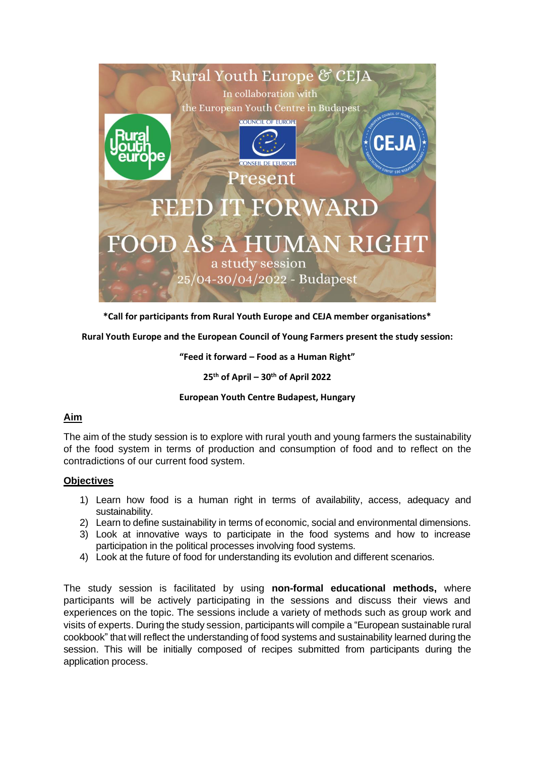

**\*Call for participants from Rural Youth Europe and CEJA member organisations\***

**Rural Youth Europe and the European Council of Young Farmers present the study session:**

**"Feed it forward – Food as a Human Right"**

**25th of April – 30th of April 2022**

## **European Youth Centre Budapest, Hungary**

## **Aim**

The aim of the study session is to explore with rural youth and young farmers the sustainability of the food system in terms of production and consumption of food and to reflect on the contradictions of our current food system.

## **Objectives**

- 1) Learn how food is a human right in terms of availability, access, adequacy and sustainability.
- 2) Learn to define sustainability in terms of economic, social and environmental dimensions.
- 3) Look at innovative ways to participate in the food systems and how to increase participation in the political processes involving food systems.
- 4) Look at the future of food for understanding its evolution and different scenarios.

The study session is facilitated by using **non-formal educational methods,** where participants will be actively participating in the sessions and discuss their views and experiences on the topic. The sessions include a variety of methods such as group work and visits of experts. During the study session, participants will compile a "European sustainable rural cookbook" that will reflect the understanding of food systems and sustainability learned during the session. This will be initially composed of recipes submitted from participants during the application process.